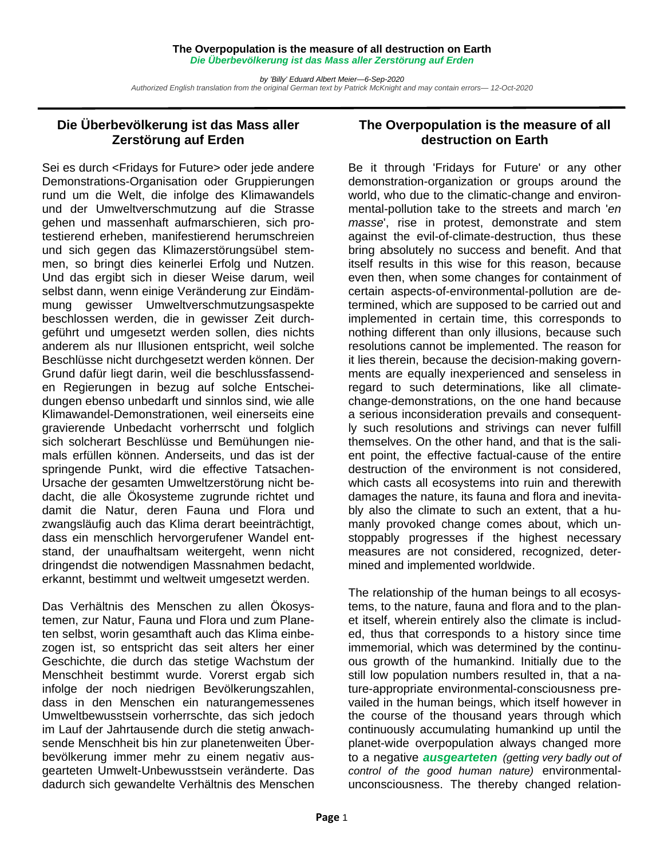## **The Overpopulation is the measure of all destruction on Earth**  *Die Überbevölkerung ist das Mass aller Zerstörung auf Erden*

*by 'Billy' Eduard Albert Meier—6-Sep-2020 Authorized English translation from the original German text by Patrick McKnight and may contain errors— 12-Oct-2020* 

## **Die Überbevölkerung ist das Mass aller Zerstörung auf Erden**

Sei es durch <Fridays for Future> oder jede andere Demonstrations-Organisation oder Gruppierungen rund um die Welt, die infolge des Klimawandels und der Umweltverschmutzung auf die Strasse gehen und massenhaft aufmarschieren, sich protestierend erheben, manifestierend herumschreien und sich gegen das Klimazerstörungsübel stemmen, so bringt dies keinerlei Erfolg und Nutzen. Und das ergibt sich in dieser Weise darum, weil selbst dann, wenn einige Veränderung zur Eindämmung gewisser Umweltverschmutzungsaspekte beschlossen werden, die in gewisser Zeit durchgeführt und umgesetzt werden sollen, dies nichts anderem als nur Illusionen entspricht, weil solche Beschlüsse nicht durchgesetzt werden können. Der Grund dafür liegt darin, weil die beschlussfassenden Regierungen in bezug auf solche Entscheidungen ebenso unbedarft und sinnlos sind, wie alle Klimawandel-Demonstrationen, weil einerseits eine gravierende Unbedacht vorherrscht und folglich sich solcherart Beschlüsse und Bemühungen niemals erfüllen können. Anderseits, und das ist der springende Punkt, wird die effective Tatsachen-Ursache der gesamten Umweltzerstörung nicht bedacht, die alle Ökosysteme zugrunde richtet und damit die Natur, deren Fauna und Flora und zwangsläufig auch das Klima derart beeinträchtigt, dass ein menschlich hervorgerufener Wandel entstand, der unaufhaltsam weitergeht, wenn nicht dringendst die notwendigen Massnahmen bedacht, erkannt, bestimmt und weltweit umgesetzt werden.

Das Verhältnis des Menschen zu allen Ökosystemen, zur Natur, Fauna und Flora und zum Planeten selbst, worin gesamthaft auch das Klima einbezogen ist, so entspricht das seit alters her einer Geschichte, die durch das stetige Wachstum der Menschheit bestimmt wurde. Vorerst ergab sich infolge der noch niedrigen Bevölkerungszahlen, dass in den Menschen ein naturangemessenes Umweltbewusstsein vorherrschte, das sich jedoch im Lauf der Jahrtausende durch die stetig anwachsende Menschheit bis hin zur planetenweiten Überbevölkerung immer mehr zu einem negativ ausgearteten Umwelt-Unbewusstsein veränderte. Das dadurch sich gewandelte Verhältnis des Menschen

## **The Overpopulation is the measure of all destruction on Earth**

Be it through 'Fridays for Future' or any other demonstration-organization or groups around the world, who due to the climatic-change and environmental-pollution take to the streets and march '*en masse*', rise in protest, demonstrate and stem against the evil-of-climate-destruction, thus these bring absolutely no success and benefit. And that itself results in this wise for this reason, because even then, when some changes for containment of certain aspects-of-environmental-pollution are determined, which are supposed to be carried out and implemented in certain time, this corresponds to nothing different than only illusions, because such resolutions cannot be implemented. The reason for it lies therein, because the decision-making governments are equally inexperienced and senseless in regard to such determinations, like all climatechange-demonstrations, on the one hand because a serious inconsideration prevails and consequently such resolutions and strivings can never fulfill themselves. On the other hand, and that is the salient point, the effective factual-cause of the entire destruction of the environment is not considered, which casts all ecosystems into ruin and therewith damages the nature, its fauna and flora and inevitably also the climate to such an extent, that a humanly provoked change comes about, which unstoppably progresses if the highest necessary measures are not considered, recognized, determined and implemented worldwide.

The relationship of the human beings to all ecosystems, to the nature, fauna and flora and to the planet itself, wherein entirely also the climate is included, thus that corresponds to a history since time immemorial, which was determined by the continuous growth of the humankind. Initially due to the still low population numbers resulted in, that a nature-appropriate environmental-consciousness prevailed in the human beings, which itself however in the course of the thousand years through which continuously accumulating humankind up until the planet-wide overpopulation always changed more to a negative *ausgearteten (getting very badly out of control of the good human nature)* environmentalunconsciousness. The thereby changed relation-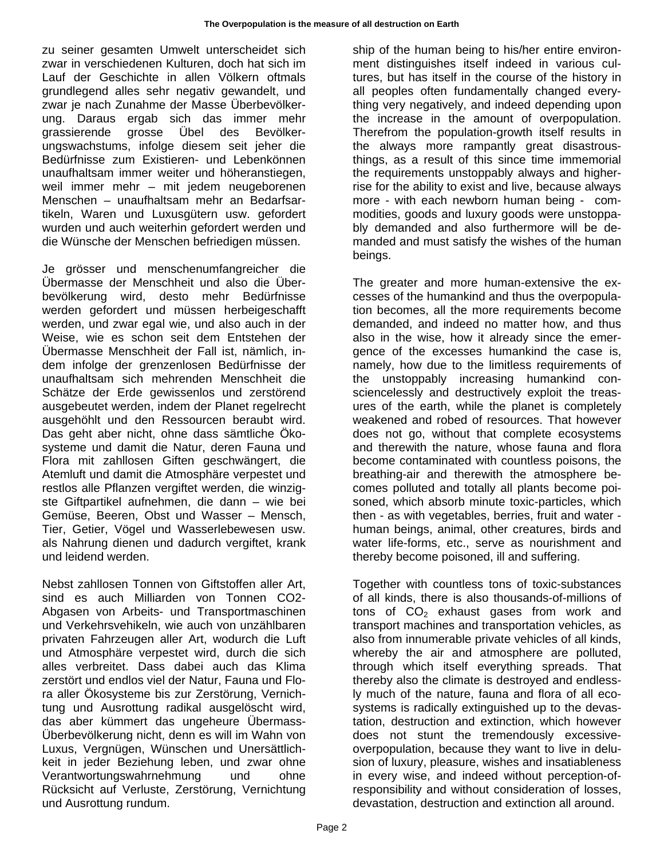zu seiner gesamten Umwelt unterscheidet sich zwar in verschiedenen Kulturen, doch hat sich im Lauf der Geschichte in allen Völkern oftmals grundlegend alles sehr negativ gewandelt, und zwar je nach Zunahme der Masse Überbevölkerung. Daraus ergab sich das immer mehr grassierende grosse Übel des Bevölkerungswachstums, infolge diesem seit jeher die Bedürfnisse zum Existieren- und Lebenkönnen unaufhaltsam immer weiter und höheranstiegen, weil immer mehr – mit jedem neugeborenen Menschen – unaufhaltsam mehr an Bedarfsartikeln, Waren und Luxusgütern usw. gefordert wurden und auch weiterhin gefordert werden und die Wünsche der Menschen befriedigen müssen.

Je grösser und menschenumfangreicher die Übermasse der Menschheit und also die Überbevölkerung wird, desto mehr Bedürfnisse werden gefordert und müssen herbeigeschafft werden, und zwar egal wie, und also auch in der Weise, wie es schon seit dem Entstehen der Übermasse Menschheit der Fall ist, nämlich, indem infolge der grenzenlosen Bedürfnisse der unaufhaltsam sich mehrenden Menschheit die Schätze der Erde gewissenlos und zerstörend ausgebeutet werden, indem der Planet regelrecht ausgehöhlt und den Ressourcen beraubt wird. Das geht aber nicht, ohne dass sämtliche Ökosysteme und damit die Natur, deren Fauna und Flora mit zahllosen Giften geschwängert, die Atemluft und damit die Atmosphäre verpestet und restlos alle Pflanzen vergiftet werden, die winzigste Giftpartikel aufnehmen, die dann – wie bei Gemüse, Beeren, Obst und Wasser – Mensch, Tier, Getier, Vögel und Wasserlebewesen usw. als Nahrung dienen und dadurch vergiftet, krank und leidend werden.

Nebst zahllosen Tonnen von Giftstoffen aller Art, sind es auch Milliarden von Tonnen CO2- Abgasen von Arbeits- und Transportmaschinen und Verkehrsvehikeln, wie auch von unzählbaren privaten Fahrzeugen aller Art, wodurch die Luft und Atmosphäre verpestet wird, durch die sich alles verbreitet. Dass dabei auch das Klima zerstört und endlos viel der Natur, Fauna und Flora aller Ökosysteme bis zur Zerstörung, Vernichtung und Ausrottung radikal ausgelöscht wird, das aber kümmert das ungeheure Übermass-Überbevölkerung nicht, denn es will im Wahn von Luxus, Vergnügen, Wünschen und Unersättlichkeit in jeder Beziehung leben, und zwar ohne Verantwortungswahrnehmung und ohne Rücksicht auf Verluste, Zerstörung, Vernichtung und Ausrottung rundum.

ship of the human being to his/her entire environment distinguishes itself indeed in various cultures, but has itself in the course of the history in all peoples often fundamentally changed everything very negatively, and indeed depending upon the increase in the amount of overpopulation. Therefrom the population-growth itself results in the always more rampantly great disastrousthings, as a result of this since time immemorial the requirements unstoppably always and higherrise for the ability to exist and live, because always more - with each newborn human being - commodities, goods and luxury goods were unstoppably demanded and also furthermore will be demanded and must satisfy the wishes of the human beings.

The greater and more human-extensive the excesses of the humankind and thus the overpopulation becomes, all the more requirements become demanded, and indeed no matter how, and thus also in the wise, how it already since the emergence of the excesses humankind the case is, namely, how due to the limitless requirements of the unstoppably increasing humankind consciencelessly and destructively exploit the treasures of the earth, while the planet is completely weakened and robed of resources. That however does not go, without that complete ecosystems and therewith the nature, whose fauna and flora become contaminated with countless poisons, the breathing-air and therewith the atmosphere becomes polluted and totally all plants become poisoned, which absorb minute toxic-particles, which then - as with vegetables, berries, fruit and water human beings, animal, other creatures, birds and water life-forms, etc., serve as nourishment and thereby become poisoned, ill and suffering.

Together with countless tons of toxic-substances of all kinds, there is also thousands-of-millions of tons of  $CO<sub>2</sub>$  exhaust gases from work and transport machines and transportation vehicles, as also from innumerable private vehicles of all kinds, whereby the air and atmosphere are polluted, through which itself everything spreads. That thereby also the climate is destroyed and endlessly much of the nature, fauna and flora of all ecosystems is radically extinguished up to the devastation, destruction and extinction, which however does not stunt the tremendously excessiveoverpopulation, because they want to live in delusion of luxury, pleasure, wishes and insatiableness in every wise, and indeed without perception-ofresponsibility and without consideration of losses, devastation, destruction and extinction all around.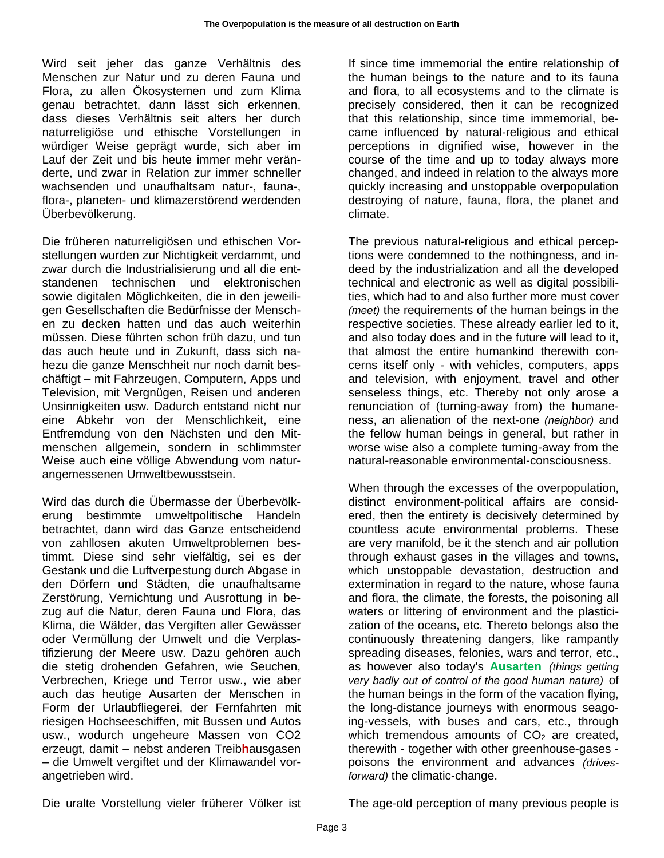Wird seit jeher das ganze Verhältnis des Menschen zur Natur und zu deren Fauna und Flora, zu allen Ökosystemen und zum Klima genau betrachtet, dann lässt sich erkennen, dass dieses Verhältnis seit alters her durch naturreligiöse und ethische Vorstellungen in würdiger Weise geprägt wurde, sich aber im Lauf der Zeit und bis heute immer mehr veränderte, und zwar in Relation zur immer schneller wachsenden und unaufhaltsam natur-, fauna-, flora-, planeten- und klimazerstörend werdenden Überbevölkerung.

Die früheren naturreligiösen und ethischen Vorstellungen wurden zur Nichtigkeit verdammt, und zwar durch die Industrialisierung und all die entstandenen technischen und elektronischen sowie digitalen Möglichkeiten, die in den jeweiligen Gesellschaften die Bedürfnisse der Menschen zu decken hatten und das auch weiterhin müssen. Diese führten schon früh dazu, und tun das auch heute und in Zukunft, dass sich nahezu die ganze Menschheit nur noch damit beschäftigt – mit Fahrzeugen, Computern, Apps und Television, mit Vergnügen, Reisen und anderen Unsinnigkeiten usw. Dadurch entstand nicht nur eine Abkehr von der Menschlichkeit, eine Entfremdung von den Nächsten und den Mitmenschen allgemein, sondern in schlimmster Weise auch eine völlige Abwendung vom naturangemessenen Umweltbewusstsein.

Wird das durch die Übermasse der Überbevölkerung bestimmte umweltpolitische Handeln betrachtet, dann wird das Ganze entscheidend von zahllosen akuten Umweltproblemen bestimmt. Diese sind sehr vielfältig, sei es der Gestank und die Luftverpestung durch Abgase in den Dörfern und Städten, die unaufhaltsame Zerstörung, Vernichtung und Ausrottung in bezug auf die Natur, deren Fauna und Flora, das Klima, die Wälder, das Vergiften aller Gewässer oder Vermüllung der Umwelt und die Verplastifizierung der Meere usw. Dazu gehören auch die stetig drohenden Gefahren, wie Seuchen, Verbrechen, Kriege und Terror usw., wie aber auch das heutige Ausarten der Menschen in Form der Urlaubfliegerei, der Fernfahrten mit riesigen Hochseeschiffen, mit Bussen und Autos usw., wodurch ungeheure Massen von CO2 erzeugt, damit – nebst anderen Treib**h**ausgasen – die Umwelt vergiftet und der Klimawandel vorangetrieben wird.

If since time immemorial the entire relationship of the human beings to the nature and to its fauna and flora, to all ecosystems and to the climate is precisely considered, then it can be recognized that this relationship, since time immemorial, became influenced by natural-religious and ethical perceptions in dignified wise, however in the course of the time and up to today always more changed, and indeed in relation to the always more quickly increasing and unstoppable overpopulation destroying of nature, fauna, flora, the planet and climate.

The previous natural-religious and ethical perceptions were condemned to the nothingness, and indeed by the industrialization and all the developed technical and electronic as well as digital possibilities, which had to and also further more must cover *(meet)* the requirements of the human beings in the respective societies. These already earlier led to it, and also today does and in the future will lead to it, that almost the entire humankind therewith concerns itself only - with vehicles, computers, apps and television, with enjoyment, travel and other senseless things, etc. Thereby not only arose a renunciation of (turning-away from) the humaneness, an alienation of the next-one *(neighbor)* and the fellow human beings in general, but rather in worse wise also a complete turning-away from the natural-reasonable environmental-consciousness.

When through the excesses of the overpopulation, distinct environment-political affairs are considered, then the entirety is decisively determined by countless acute environmental problems. These are very manifold, be it the stench and air pollution through exhaust gases in the villages and towns, which unstoppable devastation, destruction and extermination in regard to the nature, whose fauna and flora, the climate, the forests, the poisoning all waters or littering of environment and the plasticization of the oceans, etc. Thereto belongs also the continuously threatening dangers, like rampantly spreading diseases, felonies, wars and terror, etc., as however also today's **Ausarten** *(things getting very badly out of control of the good human nature)* of the human beings in the form of the vacation flying, the long-distance journeys with enormous seagoing-vessels, with buses and cars, etc., through which tremendous amounts of  $CO<sub>2</sub>$  are created, therewith - together with other greenhouse-gases poisons the environment and advances *(drivesforward)* the climatic-change.

Die uralte Vorstellung vieler früherer Völker ist

The age-old perception of many previous people is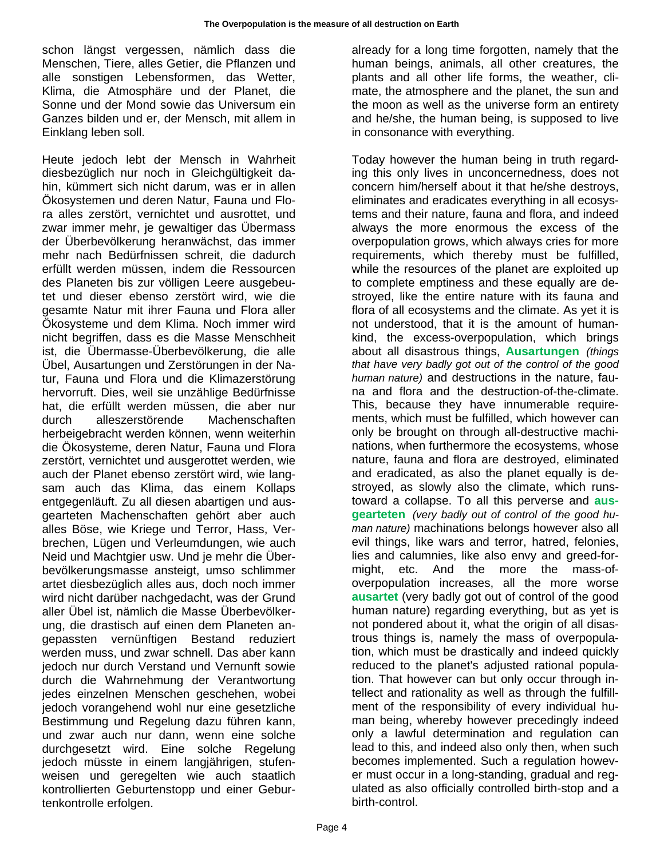schon längst vergessen, nämlich dass die Menschen, Tiere, alles Getier, die Pflanzen und alle sonstigen Lebensformen, das Wetter, Klima, die Atmosphäre und der Planet, die Sonne und der Mond sowie das Universum ein Ganzes bilden und er, der Mensch, mit allem in Einklang leben soll.

Heute jedoch lebt der Mensch in Wahrheit diesbezüglich nur noch in Gleichgültigkeit dahin, kümmert sich nicht darum, was er in allen Ökosystemen und deren Natur, Fauna und Flora alles zerstört, vernichtet und ausrottet, und zwar immer mehr, je gewaltiger das Übermass der Überbevölkerung heranwächst, das immer mehr nach Bedürfnissen schreit, die dadurch erfüllt werden müssen, indem die Ressourcen des Planeten bis zur völligen Leere ausgebeutet und dieser ebenso zerstört wird, wie die gesamte Natur mit ihrer Fauna und Flora aller Ökosysteme und dem Klima. Noch immer wird nicht begriffen, dass es die Masse Menschheit ist, die Übermasse-Überbevölkerung, die alle Übel, Ausartungen und Zerstörungen in der Natur, Fauna und Flora und die Klimazerstörung hervorruft. Dies, weil sie unzählige Bedürfnisse hat, die erfüllt werden müssen, die aber nur durch alleszerstörende Machenschaften herbeigebracht werden können, wenn weiterhin die Ökosysteme, deren Natur, Fauna und Flora zerstört, vernichtet und ausgerottet werden, wie auch der Planet ebenso zerstört wird, wie langsam auch das Klima, das einem Kollaps entgegenläuft. Zu all diesen abartigen und ausgearteten Machenschaften gehört aber auch alles Böse, wie Kriege und Terror, Hass, Verbrechen, Lügen und Verleumdungen, wie auch Neid und Machtgier usw. Und je mehr die Überbevölkerungsmasse ansteigt, umso schlimmer artet diesbezüglich alles aus, doch noch immer wird nicht darüber nachgedacht, was der Grund aller Übel ist, nämlich die Masse Überbevölkerung, die drastisch auf einen dem Planeten angepassten vernünftigen Bestand reduziert werden muss, und zwar schnell. Das aber kann jedoch nur durch Verstand und Vernunft sowie durch die Wahrnehmung der Verantwortung jedes einzelnen Menschen geschehen, wobei jedoch vorangehend wohl nur eine gesetzliche Bestimmung und Regelung dazu führen kann, und zwar auch nur dann, wenn eine solche durchgesetzt wird. Eine solche Regelung jedoch müsste in einem langjährigen, stufenweisen und geregelten wie auch staatlich kontrollierten Geburtenstopp und einer Geburtenkontrolle erfolgen.

already for a long time forgotten, namely that the human beings, animals, all other creatures, the plants and all other life forms, the weather, climate, the atmosphere and the planet, the sun and the moon as well as the universe form an entirety and he/she, the human being, is supposed to live in consonance with everything.

Today however the human being in truth regarding this only lives in unconcernedness, does not concern him/herself about it that he/she destroys, eliminates and eradicates everything in all ecosystems and their nature, fauna and flora, and indeed always the more enormous the excess of the overpopulation grows, which always cries for more requirements, which thereby must be fulfilled, while the resources of the planet are exploited up to complete emptiness and these equally are destroyed, like the entire nature with its fauna and flora of all ecosystems and the climate. As yet it is not understood, that it is the amount of humankind, the excess-overpopulation, which brings about all disastrous things, **Ausartungen** *(things that have very badly got out of the control of the good human nature)* and destructions in the nature, fauna and flora and the destruction-of-the-climate. This, because they have innumerable requirements, which must be fulfilled, which however can only be brought on through all-destructive machinations, when furthermore the ecosystems, whose nature, fauna and flora are destroyed, eliminated and eradicated, as also the planet equally is destroyed, as slowly also the climate, which runstoward a collapse. To all this perverse and **ausgearteten** *(very badly out of control of the good human nature)* machinations belongs however also all evil things, like wars and terror, hatred, felonies, lies and calumnies, like also envy and greed-formight, etc. And the more the mass-ofoverpopulation increases, all the more worse **ausartet** (very badly got out of control of the good human nature) regarding everything, but as yet is not pondered about it, what the origin of all disastrous things is, namely the mass of overpopulation, which must be drastically and indeed quickly reduced to the planet's adjusted rational population. That however can but only occur through intellect and rationality as well as through the fulfillment of the responsibility of every individual human being, whereby however precedingly indeed only a lawful determination and regulation can lead to this, and indeed also only then, when such becomes implemented. Such a regulation however must occur in a long-standing, gradual and regulated as also officially controlled birth-stop and a birth-control.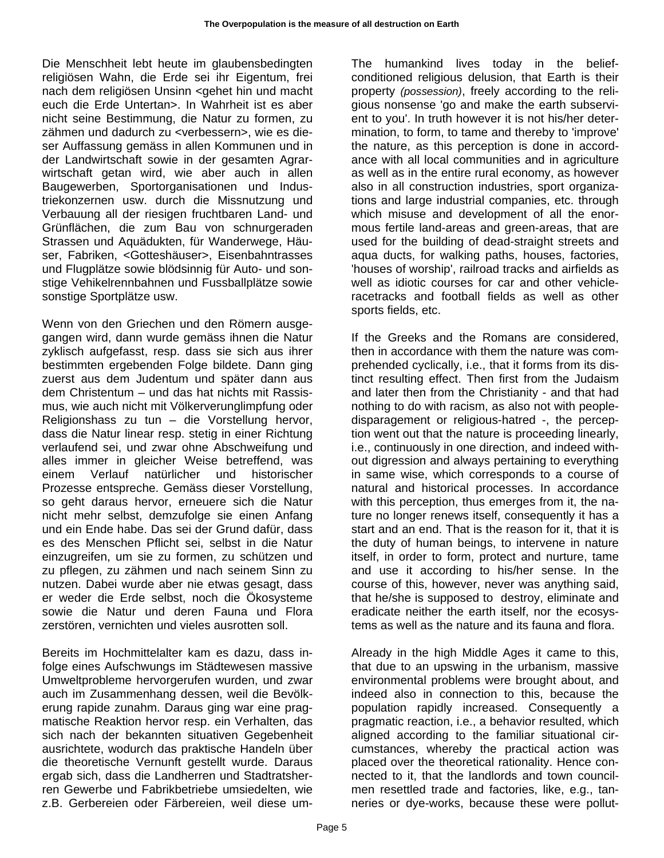Die Menschheit lebt heute im glaubensbedingten religiösen Wahn, die Erde sei ihr Eigentum, frei nach dem religiösen Unsinn <gehet hin und macht euch die Erde Untertan>. In Wahrheit ist es aber nicht seine Bestimmung, die Natur zu formen, zu zähmen und dadurch zu <verbessern>, wie es dieser Auffassung gemäss in allen Kommunen und in der Landwirtschaft sowie in der gesamten Agrarwirtschaft getan wird, wie aber auch in allen Baugewerben, Sportorganisationen und Industriekonzernen usw. durch die Missnutzung und Verbauung all der riesigen fruchtbaren Land- und Grünflächen, die zum Bau von schnurgeraden Strassen und Aquädukten, für Wanderwege, Häuser, Fabriken, <Gotteshäuser>, Eisenbahntrasses und Flugplätze sowie blödsinnig für Auto- und sonstige Vehikelrennbahnen und Fussballplätze sowie sonstige Sportplätze usw.

Wenn von den Griechen und den Römern ausgegangen wird, dann wurde gemäss ihnen die Natur zyklisch aufgefasst, resp. dass sie sich aus ihrer bestimmten ergebenden Folge bildete. Dann ging zuerst aus dem Judentum und später dann aus dem Christentum – und das hat nichts mit Rassismus, wie auch nicht mit Völkerverunglimpfung oder Religionshass zu tun – die Vorstellung hervor, dass die Natur linear resp. stetig in einer Richtung verlaufend sei, und zwar ohne Abschweifung und alles immer in gleicher Weise betreffend, was einem Verlauf natürlicher und historischer Prozesse entspreche. Gemäss dieser Vorstellung, so geht daraus hervor, erneuere sich die Natur nicht mehr selbst, demzufolge sie einen Anfang und ein Ende habe. Das sei der Grund dafür, dass es des Menschen Pflicht sei, selbst in die Natur einzugreifen, um sie zu formen, zu schützen und zu pflegen, zu zähmen und nach seinem Sinn zu nutzen. Dabei wurde aber nie etwas gesagt, dass er weder die Erde selbst, noch die Ökosysteme sowie die Natur und deren Fauna und Flora zerstören, vernichten und vieles ausrotten soll.

Bereits im Hochmittelalter kam es dazu, dass infolge eines Aufschwungs im Städtewesen massive Umweltprobleme hervorgerufen wurden, und zwar auch im Zusammenhang dessen, weil die Bevölkerung rapide zunahm. Daraus ging war eine pragmatische Reaktion hervor resp. ein Verhalten, das sich nach der bekannten situativen Gegebenheit ausrichtete, wodurch das praktische Handeln über die theoretische Vernunft gestellt wurde. Daraus ergab sich, dass die Landherren und Stadtratsherren Gewerbe und Fabrikbetriebe umsiedelten, wie z.B. Gerbereien oder Färbereien, weil diese umThe humankind lives today in the beliefconditioned religious delusion, that Earth is their property *(possession)*, freely according to the religious nonsense 'go and make the earth subservient to you'. In truth however it is not his/her determination, to form, to tame and thereby to 'improve' the nature, as this perception is done in accordance with all local communities and in agriculture as well as in the entire rural economy, as however also in all construction industries, sport organizations and large industrial companies, etc. through which misuse and development of all the enormous fertile land-areas and green-areas, that are used for the building of dead-straight streets and aqua ducts, for walking paths, houses, factories, 'houses of worship', railroad tracks and airfields as well as idiotic courses for car and other vehicleracetracks and football fields as well as other sports fields, etc.

If the Greeks and the Romans are considered, then in accordance with them the nature was comprehended cyclically, i.e., that it forms from its distinct resulting effect. Then first from the Judaism and later then from the Christianity - and that had nothing to do with racism, as also not with peopledisparagement or religious-hatred -, the perception went out that the nature is proceeding linearly, i.e., continuously in one direction, and indeed without digression and always pertaining to everything in same wise, which corresponds to a course of natural and historical processes. In accordance with this perception, thus emerges from it, the nature no longer renews itself, consequently it has a start and an end. That is the reason for it, that it is the duty of human beings, to intervene in nature itself, in order to form, protect and nurture, tame and use it according to his/her sense. In the course of this, however, never was anything said, that he/she is supposed to destroy, eliminate and eradicate neither the earth itself, nor the ecosystems as well as the nature and its fauna and flora.

Already in the high Middle Ages it came to this, that due to an upswing in the urbanism, massive environmental problems were brought about, and indeed also in connection to this, because the population rapidly increased. Consequently a pragmatic reaction, i.e., a behavior resulted, which aligned according to the familiar situational circumstances, whereby the practical action was placed over the theoretical rationality. Hence connected to it, that the landlords and town councilmen resettled trade and factories, like, e.g., tanneries or dye-works, because these were pollut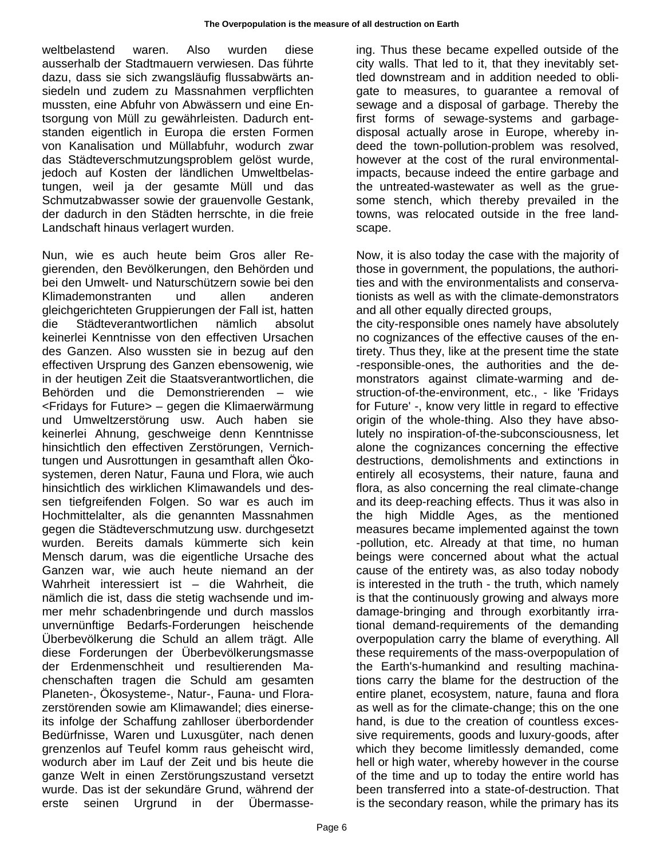weltbelastend waren. Also wurden diese ausserhalb der Stadtmauern verwiesen. Das führte dazu, dass sie sich zwangsläufig flussabwärts ansiedeln und zudem zu Massnahmen verpflichten mussten, eine Abfuhr von Abwässern und eine Entsorgung von Müll zu gewährleisten. Dadurch entstanden eigentlich in Europa die ersten Formen von Kanalisation und Müllabfuhr, wodurch zwar das Städteverschmutzungsproblem gelöst wurde, jedoch auf Kosten der ländlichen Umweltbelastungen, weil ja der gesamte Müll und das Schmutzabwasser sowie der grauenvolle Gestank, der dadurch in den Städten herrschte, in die freie Landschaft hinaus verlagert wurden.

Nun, wie es auch heute beim Gros aller Regierenden, den Bevölkerungen, den Behörden und bei den Umwelt- und Naturschützern sowie bei den Klimademonstranten und allen anderen gleichgerichteten Gruppierungen der Fall ist, hatten die Städteverantwortlichen nämlich absolut keinerlei Kenntnisse von den effectiven Ursachen des Ganzen. Also wussten sie in bezug auf den effectiven Ursprung des Ganzen ebensowenig, wie in der heutigen Zeit die Staatsverantwortlichen, die Behörden und die Demonstrierenden – wie <Fridays for Future> – gegen die Klimaerwärmung und Umweltzerstörung usw. Auch haben sie keinerlei Ahnung, geschweige denn Kenntnisse hinsichtlich den effectiven Zerstörungen, Vernichtungen und Ausrottungen in gesamthaft allen Ökosystemen, deren Natur, Fauna und Flora, wie auch hinsichtlich des wirklichen Klimawandels und dessen tiefgreifenden Folgen. So war es auch im Hochmittelalter, als die genannten Massnahmen gegen die Städteverschmutzung usw. durchgesetzt wurden. Bereits damals kümmerte sich kein Mensch darum, was die eigentliche Ursache des Ganzen war, wie auch heute niemand an der Wahrheit interessiert ist – die Wahrheit, die nämlich die ist, dass die stetig wachsende und immer mehr schadenbringende und durch masslos unvernünftige Bedarfs-Forderungen heischende Überbevölkerung die Schuld an allem trägt. Alle diese Forderungen der Überbevölkerungsmasse der Erdenmenschheit und resultierenden Machenschaften tragen die Schuld am gesamten Planeten-, Ökosysteme-, Natur-, Fauna- und Florazerstörenden sowie am Klimawandel; dies einerseits infolge der Schaffung zahlloser überbordender Bedürfnisse, Waren und Luxusgüter, nach denen grenzenlos auf Teufel komm raus geheischt wird, wodurch aber im Lauf der Zeit und bis heute die ganze Welt in einen Zerstörungszustand versetzt wurde. Das ist der sekundäre Grund, während der erste seinen Urgrund in der Übermasseing. Thus these became expelled outside of the city walls. That led to it, that they inevitably settled downstream and in addition needed to obligate to measures, to guarantee a removal of sewage and a disposal of garbage. Thereby the first forms of sewage-systems and garbagedisposal actually arose in Europe, whereby indeed the town-pollution-problem was resolved, however at the cost of the rural environmentalimpacts, because indeed the entire garbage and the untreated-wastewater as well as the gruesome stench, which thereby prevailed in the towns, was relocated outside in the free landscape.

Now, it is also today the case with the majority of those in government, the populations, the authorities and with the environmentalists and conservationists as well as with the climate-demonstrators and all other equally directed groups,

the city-responsible ones namely have absolutely no cognizances of the effective causes of the entirety. Thus they, like at the present time the state -responsible-ones, the authorities and the demonstrators against climate-warming and destruction-of-the-environment, etc., - like 'Fridays for Future' -, know very little in regard to effective origin of the whole-thing. Also they have absolutely no inspiration-of-the-subconsciousness, let alone the cognizances concerning the effective destructions, demolishments and extinctions in entirely all ecosystems, their nature, fauna and flora, as also concerning the real climate-change and its deep-reaching effects. Thus it was also in the high Middle Ages, as the mentioned measures became implemented against the town -pollution, etc. Already at that time, no human beings were concerned about what the actual cause of the entirety was, as also today nobody is interested in the truth - the truth, which namely is that the continuously growing and always more damage-bringing and through exorbitantly irrational demand-requirements of the demanding overpopulation carry the blame of everything. All these requirements of the mass-overpopulation of the Earth's-humankind and resulting machinations carry the blame for the destruction of the entire planet, ecosystem, nature, fauna and flora as well as for the climate-change; this on the one hand, is due to the creation of countless excessive requirements, goods and luxury-goods, after which they become limitlessly demanded, come hell or high water, whereby however in the course of the time and up to today the entire world has been transferred into a state-of-destruction. That is the secondary reason, while the primary has its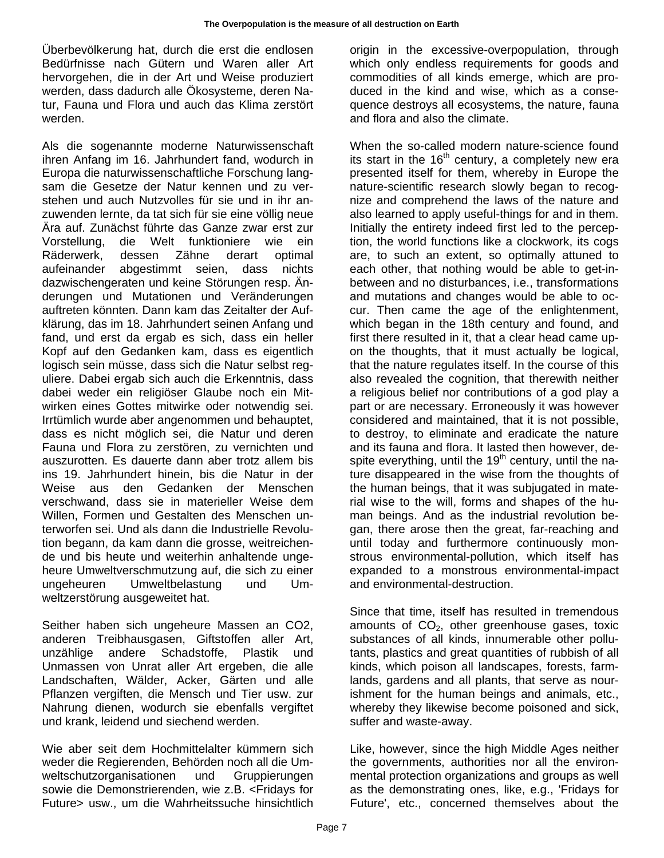Überbevölkerung hat, durch die erst die endlosen Bedürfnisse nach Gütern und Waren aller Art hervorgehen, die in der Art und Weise produziert werden, dass dadurch alle Ökosysteme, deren Natur, Fauna und Flora und auch das Klima zerstört werden.

Als die sogenannte moderne Naturwissenschaft ihren Anfang im 16. Jahrhundert fand, wodurch in Europa die naturwissenschaftliche Forschung langsam die Gesetze der Natur kennen und zu verstehen und auch Nutzvolles für sie und in ihr anzuwenden lernte, da tat sich für sie eine völlig neue Ära auf. Zunächst führte das Ganze zwar erst zur Vorstellung, die Welt funktioniere wie ein Räderwerk, dessen Zähne derart optimal aufeinander abgestimmt seien, dass nichts dazwischengeraten und keine Störungen resp. Änderungen und Mutationen und Veränderungen auftreten könnten. Dann kam das Zeitalter der Aufklärung, das im 18. Jahrhundert seinen Anfang und fand, und erst da ergab es sich, dass ein heller Kopf auf den Gedanken kam, dass es eigentlich logisch sein müsse, dass sich die Natur selbst reguliere. Dabei ergab sich auch die Erkenntnis, dass dabei weder ein religiöser Glaube noch ein Mitwirken eines Gottes mitwirke oder notwendig sei. Irrtümlich wurde aber angenommen und behauptet, dass es nicht möglich sei, die Natur und deren Fauna und Flora zu zerstören, zu vernichten und auszurotten. Es dauerte dann aber trotz allem bis ins 19. Jahrhundert hinein, bis die Natur in der Weise aus den Gedanken der Menschen verschwand, dass sie in materieller Weise dem Willen, Formen und Gestalten des Menschen unterworfen sei. Und als dann die Industrielle Revolution begann, da kam dann die grosse, weitreichende und bis heute und weiterhin anhaltende ungeheure Umweltverschmutzung auf, die sich zu einer ungeheuren Umweltbelastung und Umweltzerstörung ausgeweitet hat.

Seither haben sich ungeheure Massen an CO2, anderen Treibhausgasen, Giftstoffen aller Art, unzählige andere Schadstoffe, Plastik und Unmassen von Unrat aller Art ergeben, die alle Landschaften, Wälder, Acker, Gärten und alle Pflanzen vergiften, die Mensch und Tier usw. zur Nahrung dienen, wodurch sie ebenfalls vergiftet und krank, leidend und siechend werden.

Wie aber seit dem Hochmittelalter kümmern sich weder die Regierenden, Behörden noch all die Umweltschutzorganisationen und Gruppierungen sowie die Demonstrierenden, wie z.B. <Fridays for Future> usw., um die Wahrheitssuche hinsichtlich origin in the excessive-overpopulation, through which only endless requirements for goods and commodities of all kinds emerge, which are produced in the kind and wise, which as a consequence destroys all ecosystems, the nature, fauna and flora and also the climate.

When the so-called modern nature-science found its start in the  $16<sup>th</sup>$  century, a completely new era presented itself for them, whereby in Europe the nature-scientific research slowly began to recognize and comprehend the laws of the nature and also learned to apply useful-things for and in them. Initially the entirety indeed first led to the perception, the world functions like a clockwork, its cogs are, to such an extent, so optimally attuned to each other, that nothing would be able to get-inbetween and no disturbances, i.e., transformations and mutations and changes would be able to occur. Then came the age of the enlightenment, which began in the 18th century and found, and first there resulted in it, that a clear head came upon the thoughts, that it must actually be logical, that the nature regulates itself. In the course of this also revealed the cognition, that therewith neither a religious belief nor contributions of a god play a part or are necessary. Erroneously it was however considered and maintained, that it is not possible, to destroy, to eliminate and eradicate the nature and its fauna and flora. It lasted then however, despite everything, until the  $19<sup>th</sup>$  century, until the nature disappeared in the wise from the thoughts of the human beings, that it was subjugated in material wise to the will, forms and shapes of the human beings. And as the industrial revolution began, there arose then the great, far-reaching and until today and furthermore continuously monstrous environmental-pollution, which itself has expanded to a monstrous environmental-impact and environmental-destruction.

Since that time, itself has resulted in tremendous amounts of  $CO<sub>2</sub>$ , other greenhouse gases, toxic substances of all kinds, innumerable other pollutants, plastics and great quantities of rubbish of all kinds, which poison all landscapes, forests, farmlands, gardens and all plants, that serve as nourishment for the human beings and animals, etc., whereby they likewise become poisoned and sick, suffer and waste-away.

Like, however, since the high Middle Ages neither the governments, authorities nor all the environmental protection organizations and groups as well as the demonstrating ones, like, e.g., 'Fridays for Future', etc., concerned themselves about the